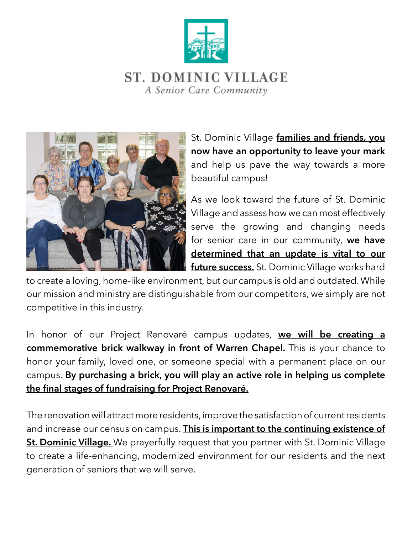



St. Dominic Village **families and friends, you now have an opportunity to leave your mark**  and help us pave the way towards a more beautiful campus!

As we look toward the future of St. Dominic Village and assess how we can most effectively serve the growing and changing needs for senior care in our community, **we have determined that an update is vital to our future success.** St. Dominic Village works hard

to create a loving, home-like environment, but our campus is old and outdated. While our mission and ministry are distinguishable from our competitors, we simply are not competitive in this industry.

In honor of our Project Renovaré campus updates, **we will be creating a commemorative brick walkway in front of Warren Chapel.** This is your chance to honor your family, loved one, or someone special with a permanent place on our campus. **By purchasing a brick, you will play an active role in helping us complete the final stages of fundraising for Project Renovaré.**

The renovation will attract more residents, improve the satisfaction of current residents and increase our census on campus. **This is important to the continuing existence of St. Dominic Village.** We prayerfully request that you partner with St. Dominic Village to create a life-enhancing, modernized environment for our residents and the next generation of seniors that we will serve.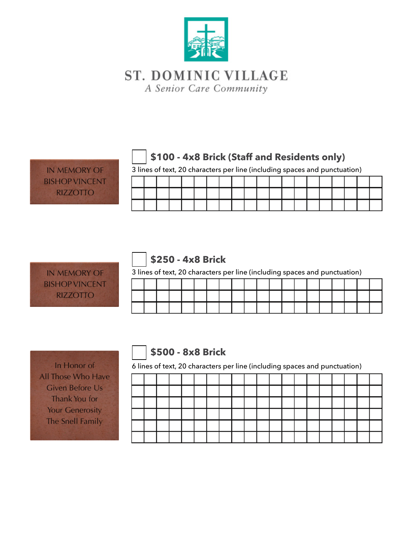

# **\$100 - 4x8 Brick (Staff and Residents only)**

3 lines of text, 20 characters per line (including spaces and punctuation)

**IN MEMORY OF BISHOP VINCENT RIZZOTTO** 

|  |  |  |  |  |  | o illies of text, zo characters per line (including spaces and panctuation) |  |  |  |  |
|--|--|--|--|--|--|-----------------------------------------------------------------------------|--|--|--|--|
|  |  |  |  |  |  |                                                                             |  |  |  |  |
|  |  |  |  |  |  |                                                                             |  |  |  |  |
|  |  |  |  |  |  |                                                                             |  |  |  |  |

#### **IN MEMORY OF BISHOP VINCENT RIZZOTTO**

# **\$250 - 4x8 Brick**

3 lines of text, 20 characters per line (including spaces and punctuation)

|  |  |  |  |  | - |  |  |  |  |
|--|--|--|--|--|---|--|--|--|--|
|  |  |  |  |  |   |  |  |  |  |
|  |  |  |  |  |   |  |  |  |  |
|  |  |  |  |  |   |  |  |  |  |

In Honor of All Those Who Have **Given Before Us** Thank You for **Your Generosity** The Snell Family

# **\$500 - 8x8 Brick**

6 lines of text, 20 characters per line (including spaces and punctuation)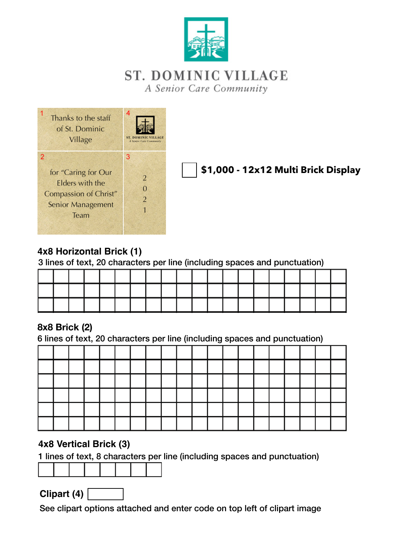



**\$1,000 - 12x12 Multi Brick Display**

### **4x8 Horizontal Brick (1)**

3 lines of text, 20 characters per line (including spaces and punctuation)

#### **8x8 Brick (2)**

6 lines of text, 20 characters per line (including spaces and punctuation)

#### **4x8 Vertical Brick (3)**

1 lines of text, 8 characters per line (including spaces and punctuation)

**Clipart (4)**

See clipart options attached and enter code on top left of clipart image